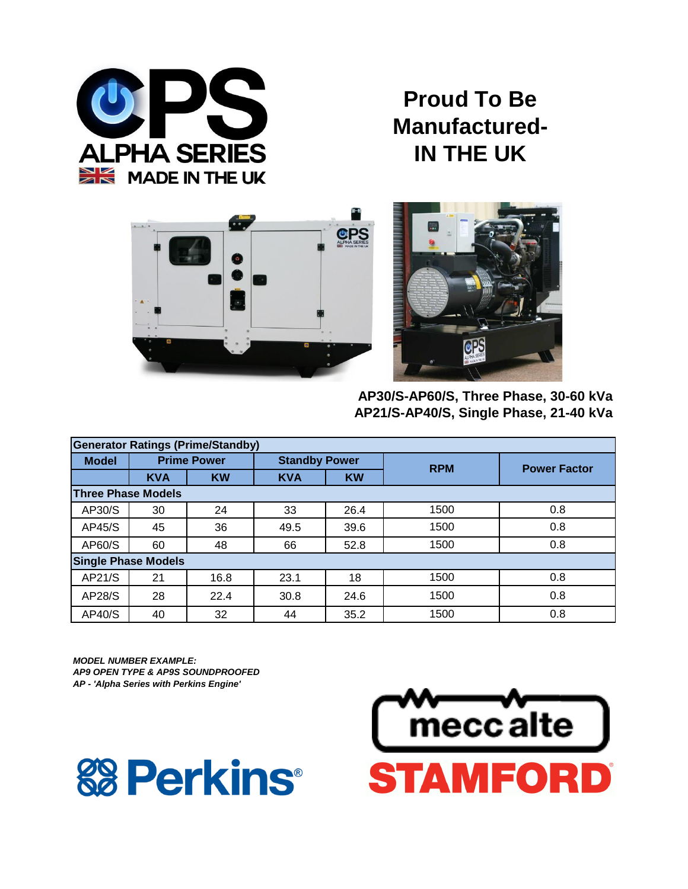

**Proud To Be Manufactured-IN THE UK**





**AP30/S-AP60/S, Three Phase, 30-60 kVa AP21/S-AP40/S, Single Phase, 21-40 kVa**

| <b>Generator Ratings (Prime/Standby)</b> |                            |                    |                         |                      |            |                     |  |  |  |
|------------------------------------------|----------------------------|--------------------|-------------------------|----------------------|------------|---------------------|--|--|--|
| <b>Model</b>                             |                            | <b>Prime Power</b> |                         | <b>Standby Power</b> | <b>RPM</b> | <b>Power Factor</b> |  |  |  |
|                                          | <b>KVA</b>                 | <b>KW</b>          | <b>KW</b><br><b>KVA</b> |                      |            |                     |  |  |  |
|                                          | <b>Three Phase Models</b>  |                    |                         |                      |            |                     |  |  |  |
| AP30/S                                   | 30                         | 24                 | 33                      | 26.4                 | 1500       | 0.8                 |  |  |  |
| AP45/S                                   | 45                         | 36                 | 49.5                    | 39.6                 | 1500       | 0.8                 |  |  |  |
| AP60/S                                   | 60                         | 48                 | 52.8<br>66              |                      | 1500       | 0.8                 |  |  |  |
|                                          | <b>Single Phase Models</b> |                    |                         |                      |            |                     |  |  |  |
| AP21/S                                   | 21                         | 16.8               | 23.1                    | 18                   | 1500       | 0.8                 |  |  |  |
| AP28/S                                   | 28                         | 22.4               | 30.8                    | 24.6                 | 1500       | 0.8                 |  |  |  |
| AP40/S                                   | 40                         | 32                 | 44                      | 35.2                 | 1500       | 0.8                 |  |  |  |

*MODEL NUMBER EXAMPLE: AP9 OPEN TYPE & AP9S SOUNDPROOFED AP - 'Alpha Series with Perkins Engine'*



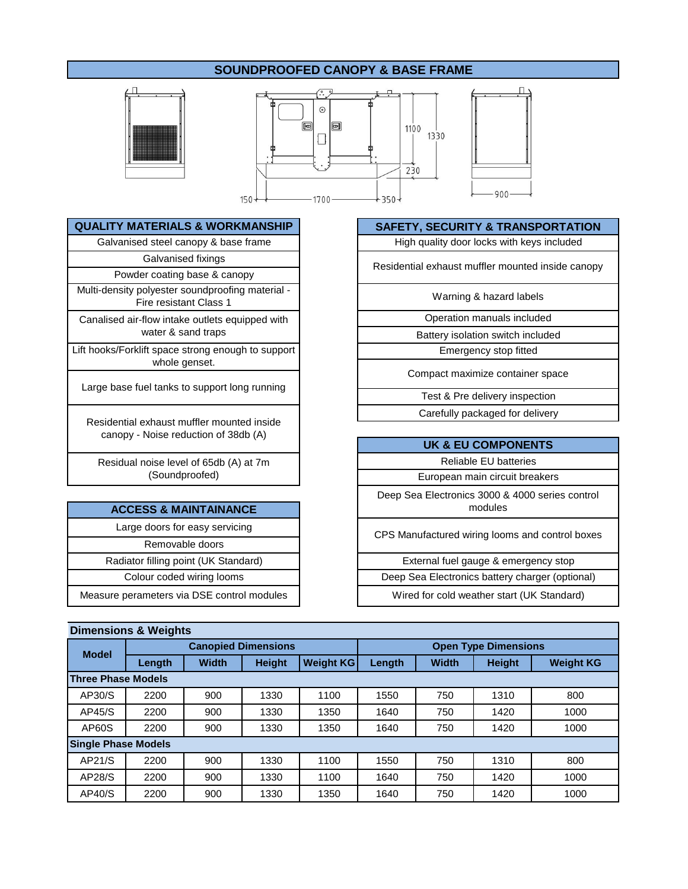# **SOUNDPROOFED CANOPY & BASE FRAME**





Galvanised fixings

Powder coating base & canopy Multi-density polyester soundproofing material -

Fire resistant Class 1

Canalised air-flow intake outlets equipped with water & sand traps

Lift hooks/Forklift space strong enough to support whole genset.

Large base fuel tanks to support long running

Residential exhaust muffler mounted inside canopy - Noise reduction of 38db (A)

Residual noise level of 65db (A) at 7m (Soundproofed)

## **ACCESS & MAINTAINANCE**

Large doors for easy servicing Removable doors Measure perameters via DSE control modules Radiator filling point (UK Standard) Colour coded wiring looms

## **QUALITY MATERIALS & WORKMANSHIP SAFETY, SECURITY & TRANSPORTATION**

Galvanised steel canopy & base frame High quality door locks with keys included

Residential exhaust muffler mounted inside canopy

Warning & hazard labels

Operation manuals included

Battery isolation switch included

Emergency stop fitted

Compact maximize container space

Carefully packaged for delivery Test & Pre delivery inspection

| <b>UK &amp; EU COMPONENTS</b>                              |
|------------------------------------------------------------|
| <b>Reliable EU batteries</b>                               |
| European main circuit breakers                             |
| Deep Sea Electronics 3000 & 4000 series control<br>modules |
| CPS Manufactured wiring looms and control boxes            |
| External fuel gauge & emergency stop                       |
| Deep Sea Electronics battery charger (optional)            |

Wired for cold weather start (UK Standard)

| <b>Dimensions &amp; Weights</b> |                            |              |                            |                  |                             |              |               |                  |  |  |
|---------------------------------|----------------------------|--------------|----------------------------|------------------|-----------------------------|--------------|---------------|------------------|--|--|
| <b>Model</b>                    |                            |              | <b>Canopied Dimensions</b> |                  | <b>Open Type Dimensions</b> |              |               |                  |  |  |
|                                 | Length                     | <b>Width</b> | <b>Height</b>              | <b>Weight KG</b> | Length                      | <b>Width</b> | <b>Height</b> | <b>Weight KG</b> |  |  |
|                                 | <b>Three Phase Models</b>  |              |                            |                  |                             |              |               |                  |  |  |
| AP30/S                          | 2200                       | 900          | 1330                       | 1100             | 1550                        | 750          | 1310          | 800              |  |  |
| AP45/S                          | 2200                       | 900          | 1330                       | 1350             | 1640                        | 750          | 1420          | 1000             |  |  |
| AP60S                           | 2200                       | 900          | 1330                       | 1350             | 1640                        | 750          | 1420          | 1000             |  |  |
|                                 | <b>Single Phase Models</b> |              |                            |                  |                             |              |               |                  |  |  |
| AP21/S                          | 2200                       | 900          | 1330                       | 1100             | 1550                        | 750          | 1310          | 800              |  |  |
| AP28/S                          | 2200                       | 900          | 1330                       | 1100             | 1640                        | 750          | 1420          | 1000             |  |  |
| AP40/S                          | 2200                       | 900          | 1330                       | 1350             | 1640                        | 750          | 1420          | 1000             |  |  |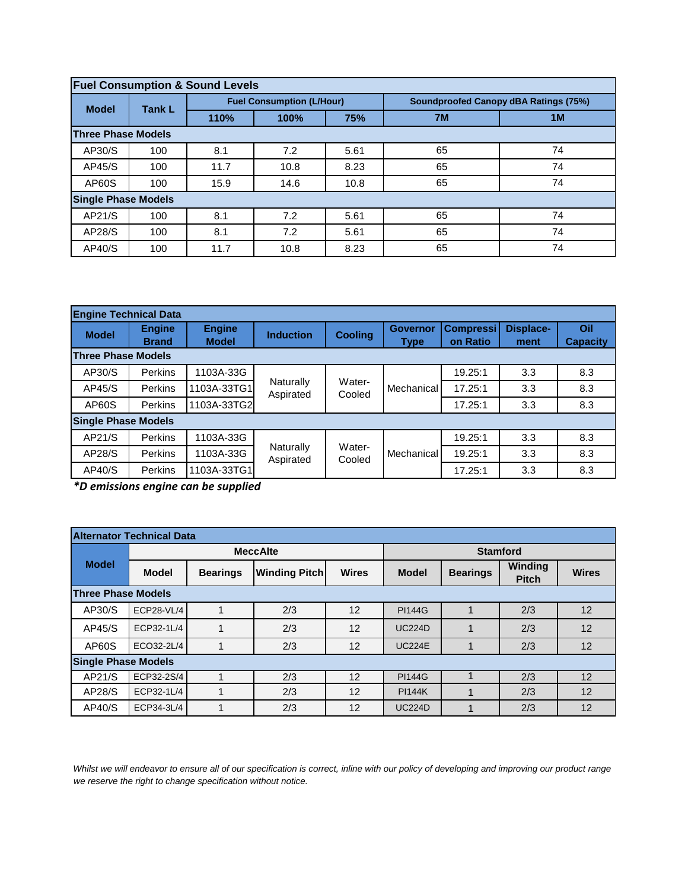| <b>Fuel Consumption &amp; Sound Levels</b> |                            |                                  |      |      |                                              |    |  |  |  |
|--------------------------------------------|----------------------------|----------------------------------|------|------|----------------------------------------------|----|--|--|--|
| <b>Model</b>                               | <b>Tank L</b>              | <b>Fuel Consumption (L/Hour)</b> |      |      | <b>Soundproofed Canopy dBA Ratings (75%)</b> |    |  |  |  |
|                                            |                            | 110%                             | 100% | 75%  | 7M                                           | 1M |  |  |  |
| <b>Three Phase Models</b>                  |                            |                                  |      |      |                                              |    |  |  |  |
| AP30/S                                     | 100                        | 8.1                              | 7.2  | 5.61 | 65                                           | 74 |  |  |  |
| AP45/S                                     | 100                        | 11.7                             | 10.8 | 8.23 | 65                                           | 74 |  |  |  |
| AP60S                                      | 100                        | 15.9                             | 14.6 | 10.8 | 65                                           | 74 |  |  |  |
|                                            | <b>Single Phase Models</b> |                                  |      |      |                                              |    |  |  |  |
| AP21/S                                     | 100                        | 8.1                              | 7.2  | 5.61 | 65                                           | 74 |  |  |  |
| AP28/S                                     | 100                        | 8.1                              | 7.2  | 5.61 | 65                                           | 74 |  |  |  |
| AP40/S                                     | 100                        | 11.7                             | 10.8 | 8.23 | 65                                           | 74 |  |  |  |

| <b>Engine Technical Data</b> |                |               |                        |                  |                 |                  |                  |                 |
|------------------------------|----------------|---------------|------------------------|------------------|-----------------|------------------|------------------|-----------------|
| <b>Model</b>                 | <b>Engine</b>  | <b>Engine</b> | <b>Induction</b>       | <b>Cooling</b>   | <b>Governor</b> | <b>Compressi</b> | <b>Displace-</b> | Oil             |
|                              | <b>Brand</b>   | <b>Model</b>  |                        |                  | Type            | on Ratio         | ment             | <b>Capacity</b> |
| <b>Three Phase Models</b>    |                |               |                        |                  |                 |                  |                  |                 |
| AP30/S                       | Perkins        | 1103A-33G     | Naturally<br>Aspirated | Water-<br>Cooled | Mechanical      | 19.25:1          | 3.3              | 8.3             |
| AP45/S                       | Perkins        | 1103A-33TG1   |                        |                  |                 | 17.25:1          | 3.3              | 8.3             |
| AP60S                        | Perkins        | 1103A-33TG2   |                        |                  |                 | 17.25:1          | 3.3              | 8.3             |
| <b>Single Phase Models</b>   |                |               |                        |                  |                 |                  |                  |                 |
| AP21/S                       | Perkins        | 1103A-33G     | Naturally<br>Aspirated |                  | Mechanical      | 19.25:1          | 3.3              | 8.3             |
| AP28/S                       | Perkins        | 1103A-33G     |                        | Water-<br>Cooled |                 | 19.25:1          | 3.3              | 8.3             |
| AP40/S                       | <b>Perkins</b> | 1103A-33TG1   |                        |                  |                 | 17.25:1          | 3.3              | 8.3             |

*\*D emissions engine can be supplied*

| <b>Alternator Technical Data</b> |                            |                 |                      |                 |               |                 |                         |              |  |
|----------------------------------|----------------------------|-----------------|----------------------|-----------------|---------------|-----------------|-------------------------|--------------|--|
| <b>Model</b>                     |                            |                 | <b>MeccAlte</b>      | <b>Stamford</b> |               |                 |                         |              |  |
|                                  | <b>Model</b>               | <b>Bearings</b> | <b>Winding Pitch</b> | <b>Wires</b>    | <b>Model</b>  | <b>Bearings</b> | Winding<br><b>Pitch</b> | <b>Wires</b> |  |
|                                  | <b>Three Phase Models</b>  |                 |                      |                 |               |                 |                         |              |  |
| AP30/S                           | <b>ECP28-VL/4</b>          |                 | 2/3                  | 12              | <b>PI144G</b> |                 | 2/3                     | 12           |  |
| AP45/S                           | ECP32-1L/4                 | 1               | 2/3                  | 12              | <b>UC224D</b> |                 | 2/3                     | 12           |  |
| AP60S                            | ECO32-2L/4                 |                 | 2/3                  | 12              | <b>UC224E</b> |                 | 2/3                     | 12           |  |
|                                  | <b>Single Phase Models</b> |                 |                      |                 |               |                 |                         |              |  |
| AP21/S                           | ECP32-2S/4                 |                 | 2/3                  | 12              | <b>PI144G</b> |                 | 2/3                     | 12           |  |
| AP28/S                           | ECP32-1L/4                 |                 | 2/3                  | 12              | <b>PI144K</b> |                 | 2/3                     | 12           |  |
| AP40/S                           | ECP34-3L/4                 |                 | 2/3                  | 12              | <b>UC224D</b> |                 | 2/3                     | 12           |  |

*Whilst we will endeavor to ensure all of our specification is correct, inline with our policy of developing and improving our product range we reserve the right to change specification without notice.*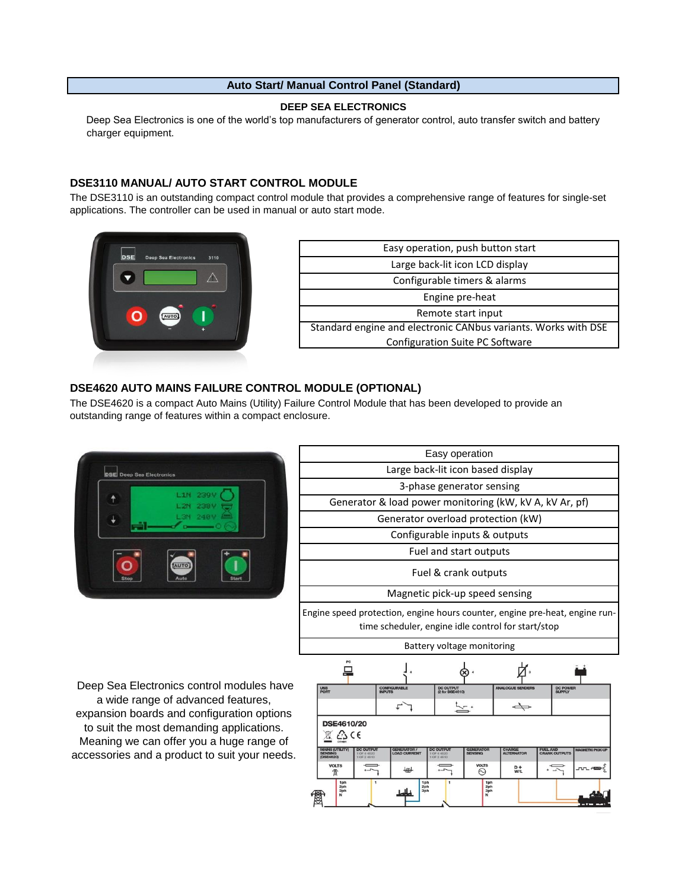### **Auto Start/ Manual Control Panel (Standard)**

#### **DEEP SEA ELECTRONICS**

Deep Sea Electronics is one of the world's top manufacturers of generator control, auto transfer switch and battery charger equipment.

## **DSE3110 MANUAL/ AUTO START CONTROL MODULE**

The DSE3110 is an outstanding compact control module that provides a comprehensive range of features for single-set applications. The controller can be used in manual or auto start mode.



| Easy operation, push button start                              |
|----------------------------------------------------------------|
| Large back-lit icon LCD display                                |
| Configurable timers & alarms                                   |
| Engine pre-heat                                                |
| Remote start input                                             |
| Standard engine and electronic CANbus variants. Works with DSE |
| Configuration Suite PC Software                                |

## **DSE4620 AUTO MAINS FAILURE CONTROL MODULE (OPTIONAL)**

The DSE4620 is a compact Auto Mains (Utility) Failure Control Module that has been developed to provide an outstanding range of features within a compact enclosure.



| Easy operation                                                                                                                    |  |  |  |  |  |  |  |
|-----------------------------------------------------------------------------------------------------------------------------------|--|--|--|--|--|--|--|
| Large back-lit icon based display                                                                                                 |  |  |  |  |  |  |  |
| 3-phase generator sensing                                                                                                         |  |  |  |  |  |  |  |
| Generator & load power monitoring (kW, kV A, kV Ar, pf)                                                                           |  |  |  |  |  |  |  |
| Generator overload protection (kW)                                                                                                |  |  |  |  |  |  |  |
| Configurable inputs & outputs                                                                                                     |  |  |  |  |  |  |  |
| Fuel and start outputs                                                                                                            |  |  |  |  |  |  |  |
| Fuel & crank outputs                                                                                                              |  |  |  |  |  |  |  |
| Magnetic pick-up speed sensing                                                                                                    |  |  |  |  |  |  |  |
| Engine speed protection, engine hours counter, engine pre-heat, engine run-<br>time scheduler, engine idle control for start/stop |  |  |  |  |  |  |  |
| Battery voltage monitoring                                                                                                        |  |  |  |  |  |  |  |
|                                                                                                                                   |  |  |  |  |  |  |  |

 Deep Sea Electronics control modules have a wide range of advanced features, expansion boards and configuration options to suit the most demanding applications. Meaning we can offer you a huge range of accessories and a product to suit your needs.